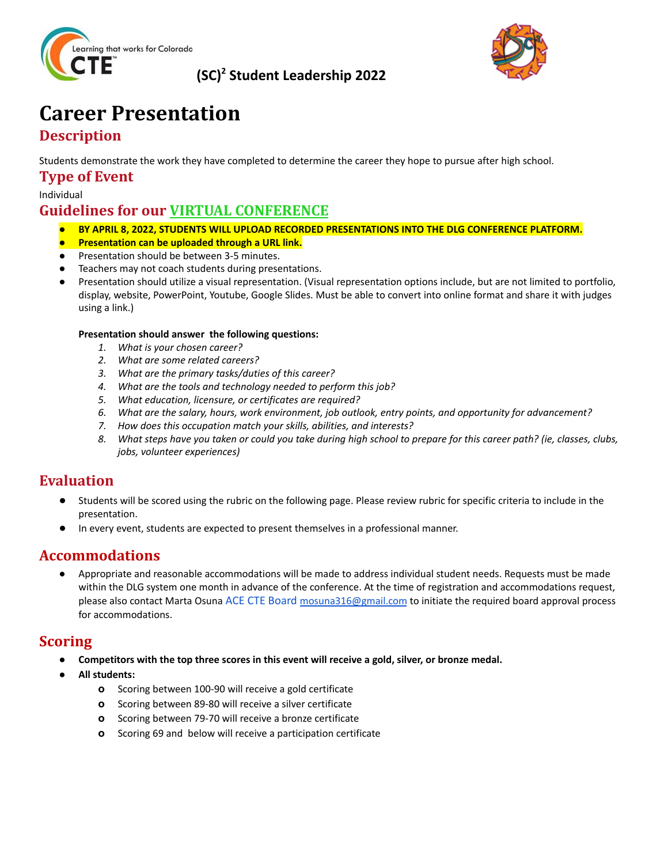

### **(SC) <sup>2</sup> Student Leadership 2022**



## **Career Presentation Description**

Students demonstrate the work they have completed to determine the career they hope to pursue after high school.

**Type of Event**

Individual

## **Guidelines for our VIRTUAL CONFERENCE**

- *●* **BY APRIL 8, 2022, STUDENTS WILL UPLOAD RECORDED PRESENTATIONS INTO THE DLG CONFERENCE PLATFORM.**
- **● Presentation can be uploaded through a URL link.**
- *●* Presentation should be between 3-5 minutes.
- Teachers may not coach students during presentations.
- *●* Presentation should utilize a visual representation. (Visual representation options include, but are not limited to portfolio, display, website, PowerPoint, Youtube, Google Slides. Must be able to convert into online format and share it with judges using a link.)

#### **Presentation should answer the following questions:**

- *1. What is your chosen career?*
- *2. What are some related careers?*
- *3. What are the primary tasks/duties of this career?*
- *4. What are the tools and technology needed to perform this job?*
- *5. What education, licensure, or certificates are required?*
- *6. What are the salary, hours, work environment, job outlook, entry points, and opportunity for advancement?*
- *7. How does this occupation match your skills, abilities, and interests?*
- 8. What steps have you taken or could you take during high school to prepare for this career path? (ie, classes, clubs, *jobs, volunteer experiences)*

#### **Evaluation**

- Students will be scored using the rubric on the following page. Please review rubric for specific criteria to include in the presentation.
- In every event, students are expected to present themselves in a professional manner.

#### **Accommodations**

● Appropriate and reasonable accommodations will be made to address individual student needs. Requests must be made within the DLG system one month in advance of the conference. At the time of registration and accommodations request, please also contact Marta Osuna ACE CTE Board [mosuna316@gmail.com](mailto:mosuna316@gmail.com) to initiate the required board approval process for accommodations.

#### **Scoring**

- Competitors with the top three scores in this event will receive a gold, silver, or bronze medal.
- **● All students:**
	- **o** Scoring between 100-90 will receive a gold certificate
	- **o** Scoring between 89-80 will receive a silver certificate
	- **o** Scoring between 79-70 will receive a bronze certificate
	- **o** Scoring 69 and below will receive a participation certificate